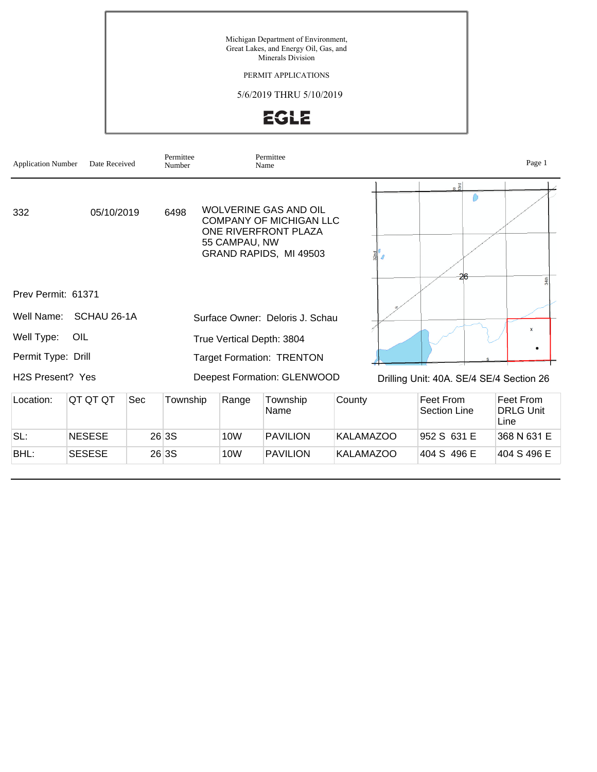Michigan Department of Environment, Great Lakes, and Energy Oil, Gas, and Minerals Division

#### PERMIT APPLICATIONS

#### 5/6/2019 THRU 5/10/2019

# EGLE

| <b>Application Number</b>     | Date Received |            | Permittee<br>Number |                 | Permittee<br>Name                                                                                                |                  |                                          | Page 1                                |
|-------------------------------|---------------|------------|---------------------|-----------------|------------------------------------------------------------------------------------------------------------------|------------------|------------------------------------------|---------------------------------------|
| 332                           | 05/10/2019    |            | 6498                | 55 CAMPAU, NW   | <b>WOLVERINE GAS AND OIL</b><br><b>COMPANY OF MICHIGAN LLC</b><br>ONE RIVERFRONT PLAZA<br>GRAND RAPIDS, MI 49503 |                  | $R\frac{g}{2}$<br>26                     |                                       |
| Prev Permit: 61371            |               |            |                     |                 |                                                                                                                  |                  |                                          |                                       |
| Well Name:                    | SCHAU 26-1A   |            |                     |                 | Surface Owner: Deloris J. Schau                                                                                  |                  |                                          |                                       |
| Well Type:                    | OIL           |            |                     |                 | True Vertical Depth: 3804                                                                                        |                  |                                          | $\mathbf{x}$                          |
| Permit Type: Drill            |               |            |                     |                 | <b>Target Formation: TRENTON</b>                                                                                 |                  |                                          | ٠                                     |
| H <sub>2</sub> S Present? Yes |               |            |                     |                 | Deepest Formation: GLENWOOD                                                                                      |                  | Drilling Unit: 40A. SE/4 SE/4 Section 26 |                                       |
| Location:                     | QT QT QT      | <b>Sec</b> | Township            | Range           | Township<br>Name                                                                                                 | County           | <b>Feet From</b><br><b>Section Line</b>  | Feet From<br><b>DRLG Unit</b><br>Line |
| SL:                           | <b>NESESE</b> |            | 26 3S               | 10 <sub>W</sub> | <b>PAVILION</b>                                                                                                  | <b>KALAMAZOO</b> | 952 S 631 E                              | 368 N 631 E                           |
| BHL:                          | <b>SESESE</b> |            | 26 3S               | 10 <sub>W</sub> | <b>PAVILION</b>                                                                                                  | <b>KALAMAZOO</b> | 404 S 496 E                              | 404 S 496 E                           |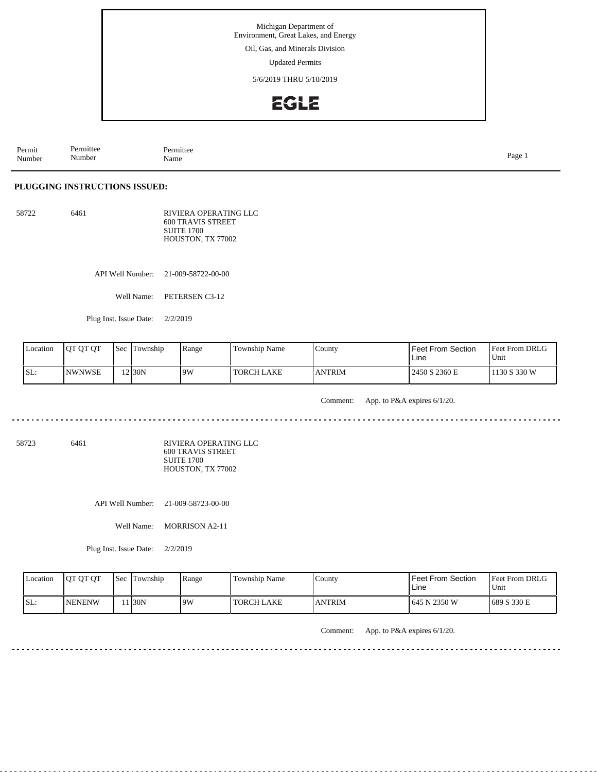Oil, Gas, and Minerals Division

Updated Permits

5/6/2019 THRU 5/10/2019

## EGLE

Permit Number Permittee Number Permittee<br>Name Name Page 1

**PLUGGING INSTRUCTIONS ISSUED:**

58722 6461 RIVIERA OPERATING LLC 600 TRAVIS STREET SUITE 1700 HOUSTON, TX 77002

API Well Number: 21-009-58722-00-00

Well Name: PETERSEN C3-12

Plug Inst. Issue Date: 2/2/2019

| <b>Location</b> | <b>IOT OT OT</b> | Sec | Township           | Range | <b>Township Name</b> | <b>County</b>  | <b>Feet From Section</b><br>Line | Feet From DRLG<br>Unit |
|-----------------|------------------|-----|--------------------|-------|----------------------|----------------|----------------------------------|------------------------|
| SL:             | <b>NWNWSE</b>    |     | 12 <sub>30</sub> N | 9W    | <b>TORCH LAKE</b>    | <b>JANTRIM</b> | 2450 S 2360 E                    | 1130 S 330 W           |

Comment: App. to P&A expires 6/1/20.

<u>. . . . . . .</u>

 $\sim$   $\sim$   $\sim$ 

dia a dia a

 $\sim$   $\sim$   $\sim$   $\sim$ 

58723 6461

RIVIERA OPERATING LLC 600 TRAVIS STREET SUITE 1700 HOUSTON, TX 77002

API Well Number: 21-009-58723-00-00

Well Name: MORRISON A2-11

Plug Inst. Issue Date: 2/2/2019

| <b>Location</b> | <b>OT OT OT</b> | <b>Sec</b> | Township | Range | Township Name     | County        | Feet From Section<br>Line | <b>Feet From DRLG</b><br>'Unit |
|-----------------|-----------------|------------|----------|-------|-------------------|---------------|---------------------------|--------------------------------|
| ISL:            | <b>INENENW</b>  |            | 1 I30N   | .9W   | <b>TORCH LAKE</b> | <b>ANTRIM</b> | 645 N 2350 W              | 1689 S 330 E                   |

Comment: App. to P&A expires 6/1/20.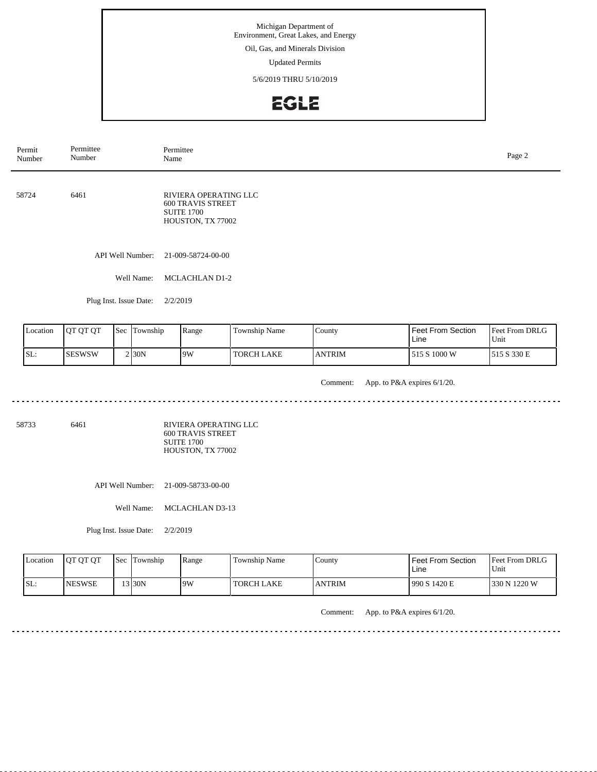Oil, Gas, and Minerals Division

Updated Permits

5/6/2019 THRU 5/10/2019

## EGLE

API Well Number: 21-009-58724-00-00 Well Name: MCLACHLAN D1-2 Plug Inst. Issue Date: 2/2/2019 58724 6461 RIVIERA OPERATING LLC 600 TRAVIS STREET SUITE 1700 HOUSTON, TX 77002 Permit Number Permittee Number Permittee<br>Name Page 2<br>Name

| Location | <b>OT QT QT</b> | <b>Sec</b> | Township            | Range | <b>Township Name</b> | County        | Feet From Section<br>Line | Feet From DRLG<br>Unit |
|----------|-----------------|------------|---------------------|-------|----------------------|---------------|---------------------------|------------------------|
| SL:      | <b>ISESWSW</b>  |            | $2$ <sub>30</sub> N | 19W   | TORCH LAKE           | <b>ANTRIM</b> | 515 S 1000 W              | S 330 E<br>515         |

Comment: App. to P&A expires 6/1/20.

58733 6461

RIVIERA OPERATING LLC 600 TRAVIS STREET SUITE 1700 HOUSTON, TX 77002

<u>. . . . . . . . . . . . . . . . . .</u>

API Well Number: 21-009-58733-00-00

Well Name: MCLACHLAN D3-13

Plug Inst. Issue Date: 2/2/2019

| Location | <b>OT OT OT</b> | <b>Sec</b> | Township | Range | Township Name | County        | <b>Feet From Section</b><br>Line | <b>Feet From DRLG</b><br>Unit |
|----------|-----------------|------------|----------|-------|---------------|---------------|----------------------------------|-------------------------------|
| ISL:     | <b>INESWSE</b>  |            | $3$ 30N  | 19W   | TORCH LAKE    | <b>ANTRIM</b> | 990 S 1420 E                     | 1330 N 1220 W                 |

Comment: App. to P&A expires 6/1/20.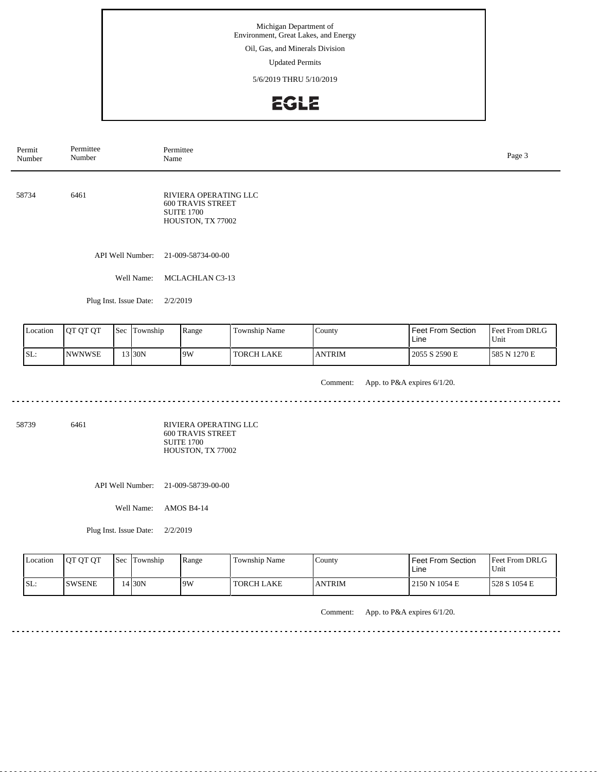Oil, Gas, and Minerals Division

Updated Permits

5/6/2019 THRU 5/10/2019

## EGLE

API Well Number: 21-009-58734-00-00 Well Name: MCLACHLAN C3-13 Plug Inst. Issue Date: 2/2/2019 58734 6461 RIVIERA OPERATING LLC 600 TRAVIS STREET SUITE 1700 HOUSTON, TX 77002 Permit Number Permittee Number Permittee<br>Name Page 3<br>Name

| Location | <b>OT OT OT</b> | <b>Sec</b> | Township | Range | m<br>Township Name | County        | <b>Feet From Section</b><br>Line | <b>Feet From DRLG</b><br>Unit |
|----------|-----------------|------------|----------|-------|--------------------|---------------|----------------------------------|-------------------------------|
| SL:      | <b>INWNWSE</b>  |            | 13 30N   | 9W    | <b>TORCH LAKE</b>  | <b>ANTRIM</b> | 2055 S 2590 E                    | 1585 N 1270 E                 |

Comment: App. to P&A expires 6/1/20. 

58739 6461

RIVIERA OPERATING LLC 600 TRAVIS STREET SUITE 1700 HOUSTON, TX 77002

API Well Number: 21-009-58739-00-00

Well Name: AMOS B4-14

Plug Inst. Issue Date: 2/2/2019

| Location | <b>OT OT OT</b> | l Sec | Township | Range | Township Name | Countv        | <b>Feet From Section</b><br>Line | <b>Feet From DRLG</b><br>Unit |
|----------|-----------------|-------|----------|-------|---------------|---------------|----------------------------------|-------------------------------|
| SL:      | <b>ISWSENE</b>  |       | 4130N    | 19W   | TORCH LAKE    | <b>ANTRIM</b> | 2150 N 1054 E                    | 1528 S 1054 E                 |

Comment: App. to P&A expires 6/1/20.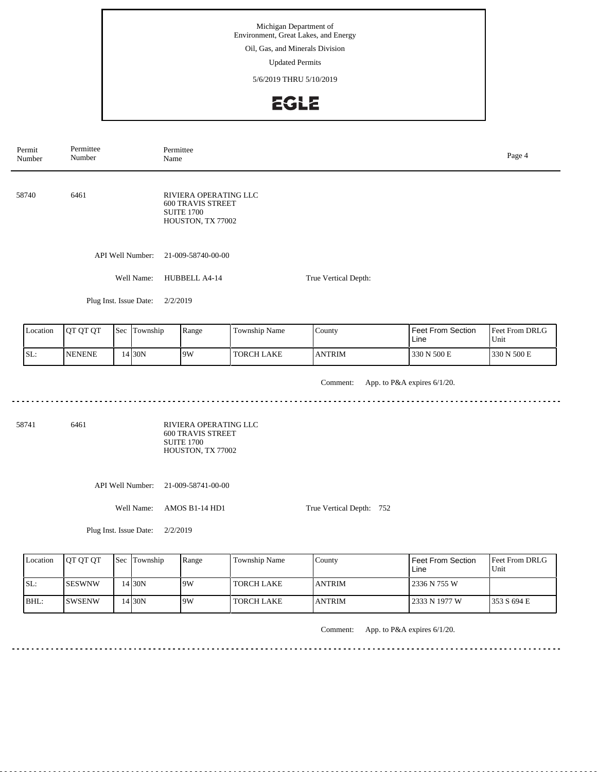Oil, Gas, and Minerals Division

Updated Permits

5/6/2019 THRU 5/10/2019

#### EGLE

Permittee Permit Permittee<br>Name Number Name Page 4 Number 58740 6461 RIVIERA OPERATING LLC 600 TRAVIS STREET SUITE 1700 HOUSTON, TX 77002 API Well Number: 21-009-58740-00-00 Well Name: HUBBELL A4-14 True Vertical Depth: Plug Inst. Issue Date: 2/2/2019 Feet From Section Location | QT QT QT | Sec | Township | Range | Township Name Township County Feet From DRLG Line Unit SL: NENENE 14 30N 9W TORCH LAKE ANTRIM 330 N 500 E 330 N 500 E Comment: App. to P&A expires 6/1/20. . . . . . . . . . . . . . . . . . . . 58741 6461 RIVIERA OPERATING LLC 600 TRAVIS STREET SUITE 1700 HOUSTON, TX 77002 API Well Number: 21-009-58741-00-00 Well Name: AMOS B1-14 HD1 True Vertical Depth: 752 Plug Inst. Issue Date: 2/2/2019 Location | QT QT QT | Sec | Township | Range | Township Name Feet From Section Feet From DRLG Township County Line Unit SL: SESWNW 14 30N 9W TORCH LAKE ANTRIM 2336 N 755 W BHL: SWSENW TORCH LAKE ANTRIM 2333 N 1977 W 353 S 694 E 14 30N 9W Comment: App. to P&A expires 6/1/20.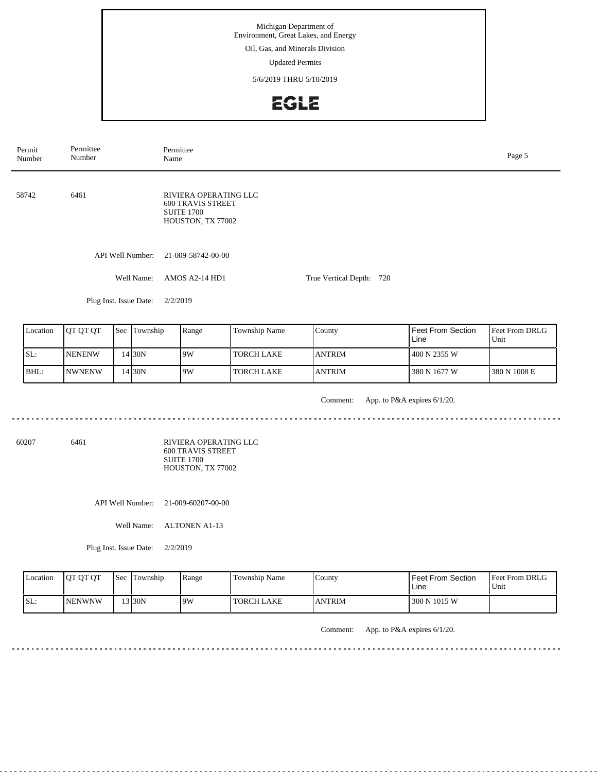Oil, Gas, and Minerals Division

Updated Permits

5/6/2019 THRU 5/10/2019

## EGLE

API Well Number: 21-009-58742-00-00 Well Name: AMOS A2-14 HD1 Plug Inst. Issue Date: 2/2/2019 True Vertical Depth: 720 58742 6461 RIVIERA OPERATING LLC 600 TRAVIS STREET SUITE 1700 HOUSTON, TX 77002 Permit Number Permittee Number Permittee<br>Name Page 5<br>Name

| Location | <b>IOT OT OT</b> | Sec | Township | Range | Township Name | County         | <b>Feet From Section</b><br>Line | <b>IFeet From DRLG</b><br>Unit |
|----------|------------------|-----|----------|-------|---------------|----------------|----------------------------------|--------------------------------|
| SL:      | <b>NENENW</b>    |     | 4 30N    | 19W   | I TORCH LAKE  | <b>LANTRIM</b> | 400 N 2355 W                     |                                |
| BHL:     | <b>INWNENW</b>   |     | 4130N    | 19W   | I TORCH LAKE  | <b>LANTRIM</b> | 380 N 1677 W                     | 380 N 1008 E                   |

. . . . . . .

Comment: App. to P&A expires 6/1/20.

 $\sim$   $\sim$   $\sim$   $\sim$ 

60207 6461

RIVIERA OPERATING LLC 600 TRAVIS STREET SUITE 1700 HOUSTON, TX 77002

API Well Number: 21-009-60207-00-00

Well Name: ALTONEN A1-13

Plug Inst. Issue Date: 2/2/2019

| <b>Location</b> | <b>IOT OT OT</b> | <b>Sec Township</b> | <b>Range</b> | Township Name     | County        | Feet From Section<br>Line | <b>Feet From DRLG</b><br>Unit |
|-----------------|------------------|---------------------|--------------|-------------------|---------------|---------------------------|-------------------------------|
| SL:             | <b>INENWNW</b>   | 13130N              | 19W          | <b>TORCH LAKE</b> | <b>ANTRIM</b> | 300 N 1015 W              |                               |

Comment: App. to P&A expires 6/1/20.

<u>. . . . . . . . .</u>

<u>. . . . . . . . .</u>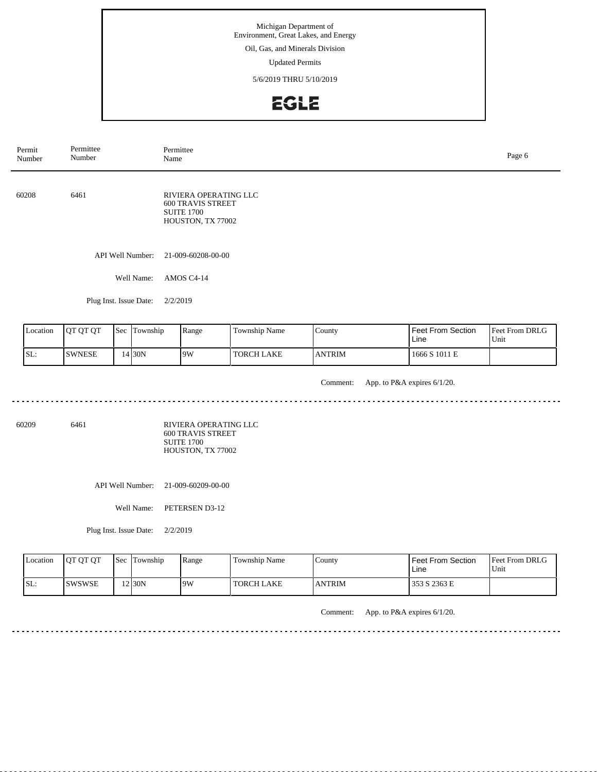Oil, Gas, and Minerals Division

Updated Permits

5/6/2019 THRU 5/10/2019

## EGLE

API Well Number: 21-009-60208-00-00 Well Name: AMOS C4-14 Plug Inst. Issue Date: 2/2/2019 60208 6461 RIVIERA OPERATING LLC 600 TRAVIS STREET SUITE 1700 HOUSTON, TX 77002 Permit Number Permittee Number Permittee<br>Name Name Page 6

| Location | <b>IOT OT OT</b> | Sec | l'Iownship | Range | <b>Township Name</b> | County        | <b>Feet From Section</b><br>Line | <b>Feet From DRLG</b><br>Unit |
|----------|------------------|-----|------------|-------|----------------------|---------------|----------------------------------|-------------------------------|
| SL:      | <b>SWNESE</b>    |     | 4 30N      | 19W   | TORCH LAKE           | <b>ANTRIM</b> | 1666 S 1011 E                    |                               |

Comment: App. to P&A expires 6/1/20.

60209 6461

RIVIERA OPERATING LLC 600 TRAVIS STREET SUITE 1700 HOUSTON, TX 77002

API Well Number: 21-009-60209-00-00

Well Name: PETERSEN D3-12

Plug Inst. Issue Date: 2/2/2019

| <b>Location</b> | <b>IOT OT OT</b> | l Sec | Township | Range | Township Name     | County        | <b>Feet From Section</b><br>Line | <b>Feet From DRLG</b><br>Unit |
|-----------------|------------------|-------|----------|-------|-------------------|---------------|----------------------------------|-------------------------------|
| SL:             | <b>SWSWSE</b>    |       | 12 30N   | 19W   | <b>TORCH LAKE</b> | <b>ANTRIM</b> | 353 S 2363 E                     |                               |

Comment: App. to P&A expires 6/1/20.

<u>. . . . . . . . . . .</u>

<u>. . . . . . . . . .</u>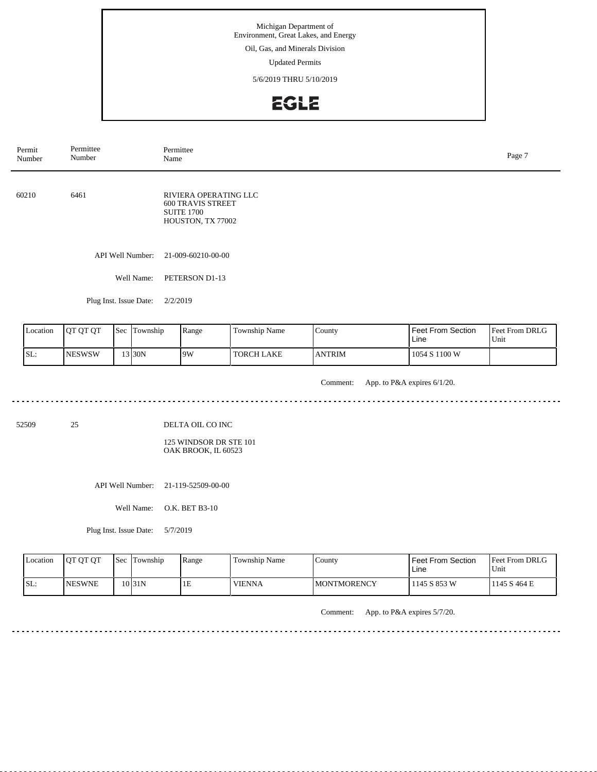Oil, Gas, and Minerals Division

Updated Permits

5/6/2019 THRU 5/10/2019

## EGLE

API Well Number: 21-009-60210-00-00 Well Name: PETERSON D1-13 Plug Inst. Issue Date: 2/2/2019 60210 6461 RIVIERA OPERATING LLC 600 TRAVIS STREET SUITE 1700 HOUSTON, TX 77002 Permit Number Permittee Number Permittee<br>Name Name Page 7

| <b>L</b> ocation | <b>IOT OT OT</b> | Sec | Township | Range | <b>Township Name</b> | County         | <b>Feet From Section</b><br>Line | Feet From DRLG<br>Unit |
|------------------|------------------|-----|----------|-------|----------------------|----------------|----------------------------------|------------------------|
| SL:              | <b>NESWSW</b>    |     | 13 30N   | 9W    | <b>TORCH LAKE</b>    | <b>JANTRIM</b> | 1054 S 1100 W                    |                        |

Comment: App. to P&A expires 6/1/20.

52509 25

DELTA OIL CO INC

125 WINDSOR DR STE 101 OAK BROOK, IL 60523

<u>. . . . . . . . . . . . . . . . . .</u>

API Well Number: 21-119-52509-00-00

Well Name: O.K. BET B3-10

Plug Inst. Issue Date: 5/7/2019

<u>. . . . . . . . . . . . . . . . .</u>

| Location | <b>IOT OT OT</b> | <b>Sec</b> | Township | Range | Township Name | County       | <b>Feet From Section</b><br>Line | <b>Feet From DRLG</b><br>Unit |
|----------|------------------|------------|----------|-------|---------------|--------------|----------------------------------|-------------------------------|
| ISL:     | <b>INESWNE</b>   |            | 10 31 N  | 1E    | <b>VIENNA</b> | IMONTMORENCY | 1145 S 853 W                     | 1145 S 464 E                  |

Comment: App. to P&A expires 5/7/20.

 $\sim$   $\sim$   $\sim$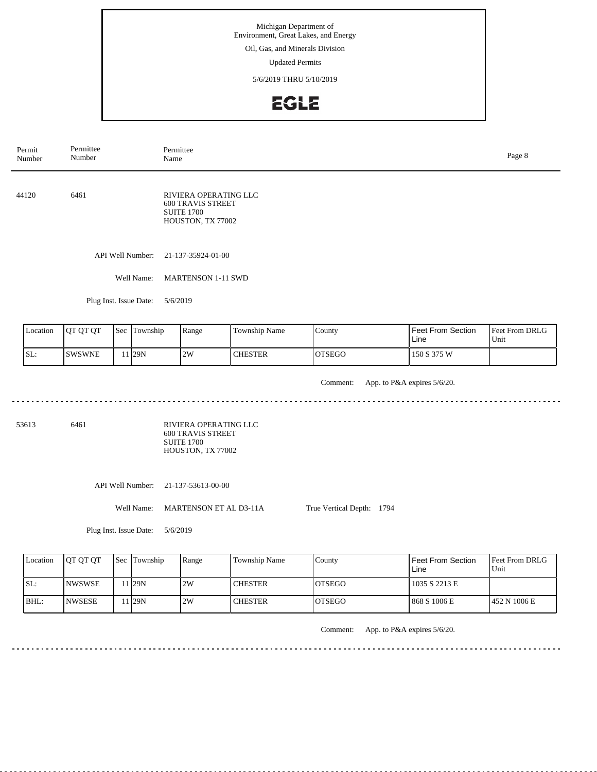Oil, Gas, and Minerals Division

Updated Permits

5/6/2019 THRU 5/10/2019

## **EGLE**

Permittee Permit Permittee<br>Name Number Name Page 8 Number 44120 6461 RIVIERA OPERATING LLC 600 TRAVIS STREET SUITE 1700 HOUSTON, TX 77002 API Well Number: 21-137-35924-01-00 Well Name: MARTENSON 1-11 SWD Plug Inst. Issue Date: 5/6/2019 Feet From Section Location QT QT QT Sec Township Range Township Name Township County Feet From DRLG Unit Line 11 29N 2W CHESTER SL: SWSWNE OTSEGO 150 S 375 W Comment: App. to P&A expires 5/6/20. 53613 6461

RIVIERA OPERATING LLC 600 TRAVIS STREET SUITE 1700 HOUSTON, TX 77002

API Well Number: 21-137-53613-00-00

Well Name: MARTENSON ET AL D3-11A

Plug Inst. Issue Date: 5/6/2019

| Location | <b>IOT OT OT</b> | <b>Sec Township</b> | Range | Township Name  | County         | Feet From Section<br>Line | Feet From DRLG<br>Unit |
|----------|------------------|---------------------|-------|----------------|----------------|---------------------------|------------------------|
| ISL:     | <b>INWSWSE</b>   | . I29N              | 2W    | <b>CHESTER</b> | <b>IOTSEGO</b> | 1035 S 2213 E             |                        |
| $IBHL$ : | <b>INWSESE</b>   | . I29N              | 2W    | <b>CHESTER</b> | <b>IOTSEGO</b> | 868 S 1006 E              | 1452 N 1006 E          |

Comment: App. to P&A expires 5/6/20.

True Vertical Depth: 1794